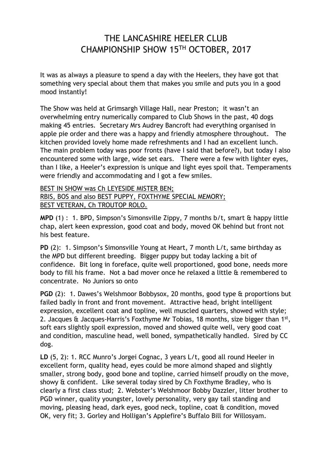## THE LANCASHIRE HEELER CLUB CHAMPIONSHIP SHOW 15TH OCTOBER, 2017

It was as always a pleasure to spend a day with the Heelers, they have got that something very special about them that makes you smile and puts you in a good mood instantly!

The Show was held at Grimsargh Village Hall, near Preston; it wasn't an overwhelming entry numerically compared to Club Shows in the past, 40 dogs making 45 entries. Secretary Mrs Audrey Bancroft had everything organised in apple pie order and there was a happy and friendly atmosphere throughout. The kitchen provided lovely home made refreshments and I had an excellent lunch. The main problem today was poor fronts (have I said that before?), but today I also encountered some with large, wide set ears. There were a few with lighter eyes, than I like, a Heeler's expression is unique and light eyes spoil that. Temperaments were friendly and accommodating and I got a few smiles.

## BEST IN SHOW was Ch LEYESIDE MISTER BEN; RBIS, BOS and also BEST PUPPY, FOXTHYME SPECIAL MEMORY; BEST VETERAN, Ch TROUTOP ROLO.

**MPD** (1) : 1. BPD, Simpson's Simonsville Zippy, 7 months b/t, smart & happy little chap, alert keen expression, good coat and body, moved OK behind but front not his best feature.

**PD** (2): 1. Simpson's Simonsville Young at Heart, 7 month L/t, same birthday as the MPD but different breeding. Bigger puppy but today lacking a bit of confidence. Bit long in foreface, quite well proportioned, good bone, needs more body to fill his frame. Not a bad mover once he relaxed a little & remembered to concentrate. No Juniors so onto

**PGD** (2): 1. Dawes's Welshmoor Bobbysox, 20 months, good type & proportions but failed badly in front and front movement. Attractive head, bright intelligent expression, excellent coat and topline, well muscled quarters, showed with style; 2. Jacques & Jacques-Harris's Foxthyme Mr Tobias, 18 months, size bigger than 1st, soft ears slightly spoil expression, moved and showed quite well, very good coat and condition, masculine head, well boned, sympathetically handled. Sired by CC dog.

**LD** (5, 2): 1. RCC Munro's Jorgei Cognac, 3 years L/t, good all round Heeler in excellent form, quality head, eyes could be more almond shaped and slightly smaller, strong body, good bone and topline, carried himself proudly on the move, showy & confident. Like several today sired by Ch Foxthyme Bradley, who is clearly a first class stud; 2. Webster's Welshmoor Bobby Dazzler, litter brother to PGD winner, quality youngster, lovely personality, very gay tail standing and moving, pleasing head, dark eyes, good neck, topline, coat & condition, moved OK, very fit; 3. Gorley and Holligan's Applefire's Buffalo Bill for Willosyam.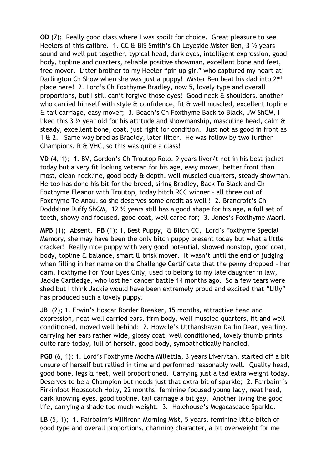**OD** (7); Really good class where I was spoilt for choice. Great pleasure to see Heelers of this calibre. 1. CC & BIS Smith's Ch Leyeside Mister Ben, 3 <sup>1/2</sup> years sound and well put together, typical head, dark eyes, intelligent expression, good body, topline and quarters, reliable positive showman, excellent bone and feet, free mover. Litter brother to my Heeler "pin up girl" who captured my heart at Darlington Ch Show when she was just a puppy! Mister Ben beat his dad into 2<sup>nd</sup> place here! 2. Lord's Ch Foxthyme Bradley, now 5, lovely type and overall proportions, but I still can't forgive those eyes! Good neck & shoulders, another who carried himself with style & confidence, fit & well muscled, excellent topline & tail carriage, easy mover; 3. Beach's Ch Foxthyme Back to Black, JW ShCM, I liked this 3  $\frac{1}{2}$  year old for his attitude and showmanship, masculine head, calm & steady, excellent bone, coat, just right for condition. Just not as good in front as 1 & 2. Same way bred as Bradley, later litter. He was follow by two further Champions. R & VHC, so this was quite a class!

**VD** (4, 1); 1. BV, Gordon's Ch Troutop Rolo, 9 years liver/t not in his best jacket today but a very fit looking veteran for his age, easy mover, better front than most, clean neckline, good body & depth, well muscled quarters, steady showman. He too has done his bit for the breed, siring Bradley, Back To Black and Ch Foxthyme Eleanor with Troutop, today bitch RCC winner – all three out of Foxthyme Te Anau, so she deserves some credit as well ! 2. Brancroft's Ch Doddsline Duffy ShCM, 12 ½ years still has a good shape for his age, a full set of teeth, showy and focused, good coat, well cared for; 3. Jones's Foxthyme Maori.

**MPB** (1); Absent. **PB** (1); 1, Best Puppy, & Bitch CC, Lord's Foxthyme Special Memory, she may have been the only bitch puppy present today but what a little cracker! Really nice puppy with very good potential, showed nonstop, good coat, body, topline & balance, smart & brisk mover. It wasn't until the end of judging when filling in her name on the Challenge Certificate that the penny dropped – her dam, Foxthyme For Your Eyes Only, used to belong to my late daughter in law, Jackie Cartledge, who lost her cancer battle 14 months ago. So a few tears were shed but I think Jackie would have been extremely proud and excited that "Lilly" has produced such a lovely puppy.

**JB** (2); 1. Erwin's Hoscar Border Breaker, 15 months, attractive head and expression, neat well carried ears, firm body, well muscled quarters, fit and well conditioned, moved well behind; 2. Howdle's Utthanshavan Darlin Dear, yearling, carrying her ears rather wide, glossy coat, well conditioned, lovely thumb prints quite rare today, full of herself, good body, sympathetically handled.

**PGB** (6, 1); 1. Lord's Foxthyme Mocha Millettia, 3 years Liver/tan, started off a bit unsure of herself but rallied in time and performed reasonably well. Quality head, good bone, legs & feet, well proportioned. Carrying just a tad extra weight today. Deserves to be a Champion but needs just that extra bit of sparkle; 2. Fairbairn's Firkinfoot Hopscotch Holly, 22 months, feminine focused young lady, neat head, dark knowing eyes, good topline, tail carriage a bit gay. Another living the good life, carrying a shade too much weight. 3. Holehouse's Megacascade Sparkle.

**LB** (5, 1); 1. Fairbairn's Millirenn Morning Mist, 5 years, feminine little bitch of good type and overall proportions, charming character, a bit overweight for me